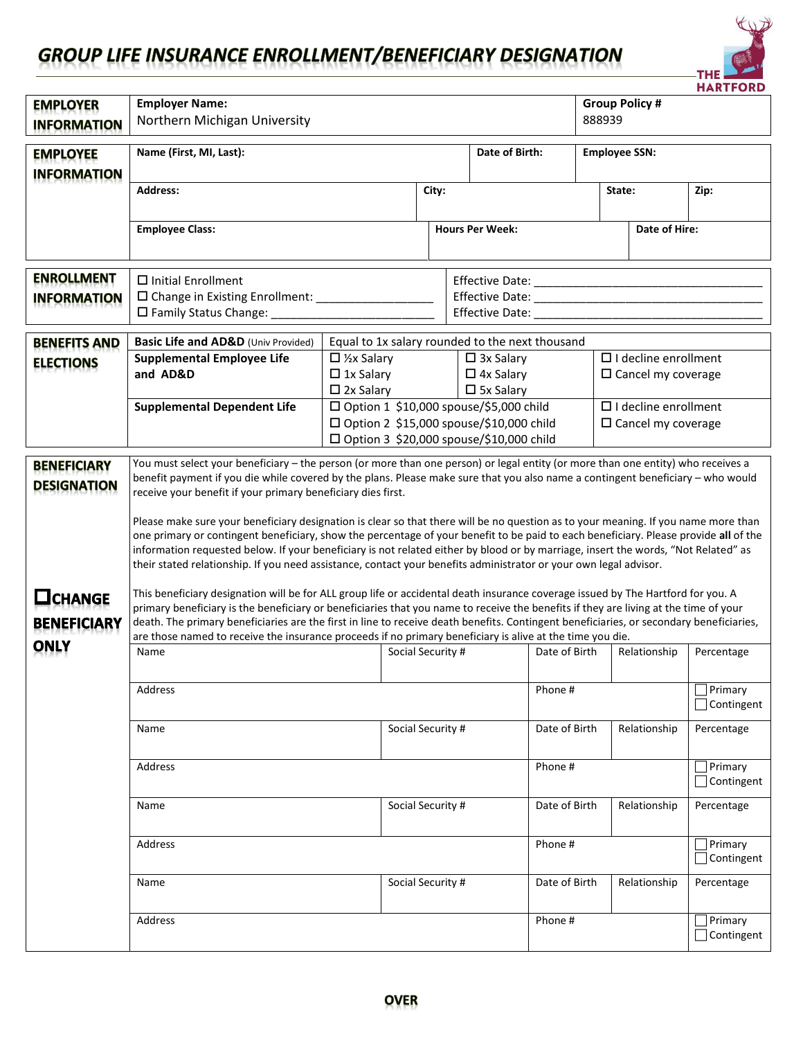## **GROUP LIFE INSURANCE ENROLLMENT/BENEFICIARY DESIGNATION**



| <b>EMPLOYER</b><br><b>INFORMATION</b>    | <b>Employer Name:</b><br>Northern Michigan University                                                                                                                                                                                                                                                                                                                                                                                                                                                                                                                                                                                                                                                                                                                                                                                                                        |                                                                                                    | <b>MARIFURD</b><br><b>Group Policy #</b><br>888939 |                                                                                                                |                      |                                                             |                                     |  |
|------------------------------------------|------------------------------------------------------------------------------------------------------------------------------------------------------------------------------------------------------------------------------------------------------------------------------------------------------------------------------------------------------------------------------------------------------------------------------------------------------------------------------------------------------------------------------------------------------------------------------------------------------------------------------------------------------------------------------------------------------------------------------------------------------------------------------------------------------------------------------------------------------------------------------|----------------------------------------------------------------------------------------------------|----------------------------------------------------|----------------------------------------------------------------------------------------------------------------|----------------------|-------------------------------------------------------------|-------------------------------------|--|
| <b>EMPLOYEE</b><br><b>INFORMATION</b>    | Name (First, MI, Last):                                                                                                                                                                                                                                                                                                                                                                                                                                                                                                                                                                                                                                                                                                                                                                                                                                                      |                                                                                                    |                                                    | Date of Birth:                                                                                                 | <b>Employee SSN:</b> |                                                             |                                     |  |
|                                          | <b>Address:</b>                                                                                                                                                                                                                                                                                                                                                                                                                                                                                                                                                                                                                                                                                                                                                                                                                                                              |                                                                                                    | City:                                              |                                                                                                                |                      | State:                                                      | Zip:                                |  |
|                                          | <b>Employee Class:</b>                                                                                                                                                                                                                                                                                                                                                                                                                                                                                                                                                                                                                                                                                                                                                                                                                                                       |                                                                                                    |                                                    | <b>Hours Per Week:</b>                                                                                         |                      | Date of Hire:                                               |                                     |  |
| <b>ENROLLMENT</b><br><b>INFORMATION</b>  | $\Box$ Initial Enrollment<br>□ Change in Existing Enrollment: ____________________                                                                                                                                                                                                                                                                                                                                                                                                                                                                                                                                                                                                                                                                                                                                                                                           |                                                                                                    |                                                    |                                                                                                                |                      |                                                             |                                     |  |
| <b>BENEFITS AND</b><br><b>ELECTIONS</b>  | Basic Life and AD&D (Univ Provided)<br><b>Supplemental Employee Life</b><br>and AD&D                                                                                                                                                                                                                                                                                                                                                                                                                                                                                                                                                                                                                                                                                                                                                                                         | $\Box$ 1/ <sub>2</sub> x Salary<br>$\Box$ 1x Salary<br>$\square$ 2x Salary                         |                                                    | Equal to 1x salary rounded to the next thousand<br>$\Box$ 3x Salary<br>$\Box$ 4x Salary<br>$\square$ 5x Salary |                      | $\Box$ I decline enrollment<br>$\Box$ Cancel my coverage    |                                     |  |
|                                          | <b>Supplemental Dependent Life</b>                                                                                                                                                                                                                                                                                                                                                                                                                                                                                                                                                                                                                                                                                                                                                                                                                                           | $\square$ Option 1 \$10,000 spouse/\$5,000 child<br>$\Box$ Option 3 \$20,000 spouse/\$10,000 child |                                                    | □ Option 2 \$15,000 spouse/\$10,000 child                                                                      |                      | $\square$ I decline enrollment<br>$\Box$ Cancel my coverage |                                     |  |
| <b>BENEFICIARY</b><br><b>DESIGNATION</b> | You must select your beneficiary - the person (or more than one person) or legal entity (or more than one entity) who receives a<br>benefit payment if you die while covered by the plans. Please make sure that you also name a contingent beneficiary - who would<br>receive your benefit if your primary beneficiary dies first.<br>Please make sure your beneficiary designation is clear so that there will be no question as to your meaning. If you name more than<br>one primary or contingent beneficiary, show the percentage of your benefit to be paid to each beneficiary. Please provide all of the<br>information requested below. If your beneficiary is not related either by blood or by marriage, insert the words, "Not Related" as<br>their stated relationship. If you need assistance, contact your benefits administrator or your own legal advisor. |                                                                                                    |                                                    |                                                                                                                |                      |                                                             |                                     |  |
| <b>OCHANGE</b><br><b>BENEFICIARY</b>     | This beneficiary designation will be for ALL group life or accidental death insurance coverage issued by The Hartford for you. A<br>primary beneficiary is the beneficiary or beneficiaries that you name to receive the benefits if they are living at the time of your<br>death. The primary beneficiaries are the first in line to receive death benefits. Contingent beneficiaries, or secondary beneficiaries,<br>are those named to receive the insurance proceeds if no primary beneficiary is alive at the time you die.                                                                                                                                                                                                                                                                                                                                             |                                                                                                    |                                                    |                                                                                                                |                      |                                                             |                                     |  |
| <b>ONLY</b>                              | Name                                                                                                                                                                                                                                                                                                                                                                                                                                                                                                                                                                                                                                                                                                                                                                                                                                                                         |                                                                                                    | Social Security #                                  | Date of Birth                                                                                                  |                      | Relationship                                                | Percentage                          |  |
|                                          | Address                                                                                                                                                                                                                                                                                                                                                                                                                                                                                                                                                                                                                                                                                                                                                                                                                                                                      |                                                                                                    |                                                    |                                                                                                                | Phone #              |                                                             | $\Box$ Primary<br>Contingent        |  |
|                                          | Name                                                                                                                                                                                                                                                                                                                                                                                                                                                                                                                                                                                                                                                                                                                                                                                                                                                                         |                                                                                                    | Social Security #                                  | Date of Birth                                                                                                  |                      | Relationship                                                | Percentage                          |  |
|                                          | Address                                                                                                                                                                                                                                                                                                                                                                                                                                                                                                                                                                                                                                                                                                                                                                                                                                                                      |                                                                                                    |                                                    |                                                                                                                | Phone #              |                                                             | $\Box$ Primary<br>$\Box$ Contingent |  |
|                                          | Name                                                                                                                                                                                                                                                                                                                                                                                                                                                                                                                                                                                                                                                                                                                                                                                                                                                                         |                                                                                                    | Social Security #                                  | Date of Birth                                                                                                  |                      | Relationship                                                | Percentage                          |  |
|                                          | Address                                                                                                                                                                                                                                                                                                                                                                                                                                                                                                                                                                                                                                                                                                                                                                                                                                                                      |                                                                                                    |                                                    | Phone #                                                                                                        |                      |                                                             | $\Box$ Primary<br>$\Box$ Contingent |  |
|                                          | Name                                                                                                                                                                                                                                                                                                                                                                                                                                                                                                                                                                                                                                                                                                                                                                                                                                                                         |                                                                                                    | Social Security #                                  | Date of Birth                                                                                                  |                      | Relationship                                                | Percentage                          |  |
|                                          | Address                                                                                                                                                                                                                                                                                                                                                                                                                                                                                                                                                                                                                                                                                                                                                                                                                                                                      |                                                                                                    |                                                    | Phone #                                                                                                        |                      |                                                             | $\Box$ Primary<br>$\Box$ Contingent |  |